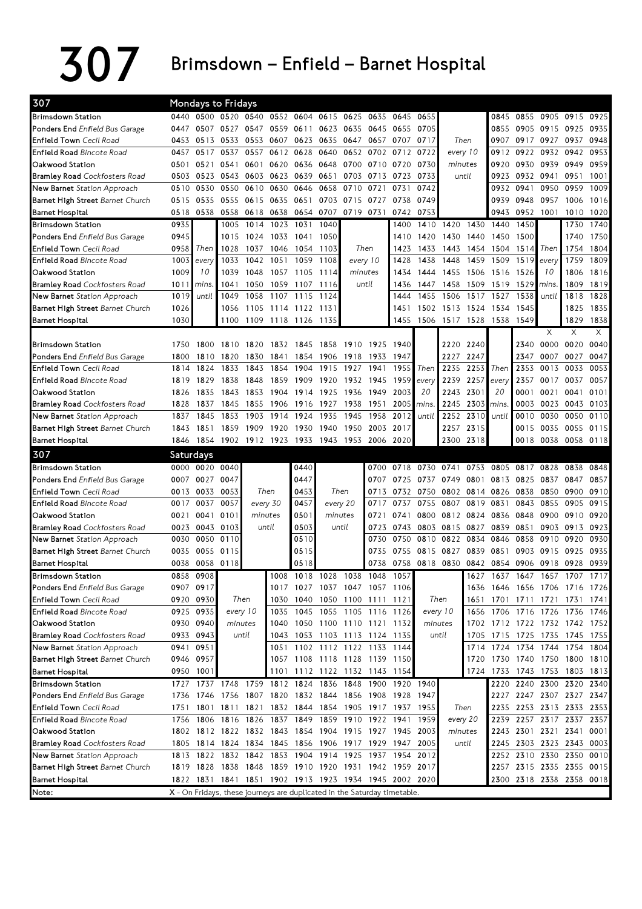## 307 Brimsdown – Enfield – Barnet Hospital

| 307                                  |           | <b>Mondays to Fridays</b> |                     |         |           |                                                        |                |           |                          |           |                |                               |           |                     |           |                               |                |      |
|--------------------------------------|-----------|---------------------------|---------------------|---------|-----------|--------------------------------------------------------|----------------|-----------|--------------------------|-----------|----------------|-------------------------------|-----------|---------------------|-----------|-------------------------------|----------------|------|
| <b>Brimsdown Station</b>             |           |                           | 0440 0500 0520 0540 |         |           | 0552 0604                                              | 0615           |           | 0625 0635                | 0645      | 0655           |                               |           | 0845                |           | 0855 0905 0915                |                | 0925 |
| Ponders End Enfield Bus Garage       | 0447      | 0507                      | 0527                | 0547    | 0559      | 0611                                                   | 0623 0635 0645 |           |                          | 0655      | 0705           |                               |           | 0855                |           | 0905 0915                     | 0925           | 0935 |
| Enfield Town Cecil Road              | 0453      | 0513                      | 0533                | 0553    | 0607      | 0623                                                   | 0635           |           | 0647 0657 0707           |           | 0717           |                               | Then      | 0907                |           | 0917 0927 0937                |                | 0948 |
| <b>Enfield Road Bincote Road</b>     | 0457      | 0517                      | 0537                | 0557    | 0612      | 0628                                                   | 0640           | 0652      | 0702                     | 0712      | 0722           |                               | every 10  | 0912                | 0922      | 0932                          | 0942           | 0953 |
| Oakwood Station                      | 0501      | 0521 0541                 |                     | 0601    |           | 0620 0636                                              | 0648           |           | 0700 0710                | 0720      | 0730           | minutes                       |           | 0920                | 0930      | 0939                          | 0949           | 0959 |
| <b>Bramley Road</b> Cockfosters Road | 0503      | 0523                      | 0543                | 0603    |           | 0623 0639                                              | 0651           |           | 0703 0713                | 0723      | 0733           |                               | until     | 0923                | 0932      | 0941                          | 0951           | 1001 |
| New Barnet Station Approach          | 0510      | 0530                      | 0550                | 0610    | 0630      | 0646                                                   | 0658           | 0710      | 0721                     | 0731      | 0742           |                               |           | 0932                | 0941      | 0950                          | 0959           | 1009 |
| Barnet High Street Barnet Church     | 0515      | 0535                      | 0555                | 0615    | 0635      | 0651                                                   | 0703           | 0715 0727 |                          | 0738      | 0749           |                               |           | 0939                | 0948      | 0957                          | 1006           | 1016 |
| <b>Barnet Hospital</b>               | 0518      | 0538                      | 0558                | 0618    | 0638      | 0654                                                   | 0707           | 0719 0731 |                          | 0742      | 0753           |                               |           | 0943                | 0952      | 1001                          | 1010           | 1020 |
| <b>Brimsdown Station</b>             | 0935      |                           | 1005                | 1014    | 1023      | 1031                                                   | 1040           |           |                          | 1400      |                | 1410 1420                     | 1430      | 1440                | 1450      |                               | 1730           | 1740 |
| Ponders End Enfield Bus Garage       | 0945      |                           | 1015                | 1024    | 1033      | 1041                                                   | 1050           |           |                          | 1410      | 1420           | 1430                          | 1440      | 1450                | 1500      |                               | 1740           | 1750 |
| <b>Enfield Town</b> Cecil Road       | 0958      | Then                      | 1028                |         | 1037 1046 | 1054                                                   | -1103          |           | Then                     | 1423      | 1433           | 1443                          | 1454 1504 |                     | 1514      | Then                          | 1754           | 1804 |
| <b>Enfield Road Bincote Road</b>     | 1003      | every                     | 1033                | 1042    | 1051      | 1059                                                   | 1108           |           | every 10                 | 1428      | 1438           | 1448                          | 1459      | 1509                | 1519      | every                         | 1759           | 1809 |
| Oakwood Station                      | 1009      | 10                        | 1039                | 1048    | 1057      | 1105                                                   | 1114           | minutes   |                          | 1434      | 1444           | 1455                          |           | 1506 1516           | 1526      | 10                            | 1806           | 1816 |
| <b>Bramley Road</b> Cockfosters Road | 1011      | mins.                     | 1041                | 1050    | 1059      | 1107                                                   | 1116           |           | until                    | 1436      | 1447           | 1458                          |           | 1509 1519           | 1529      | mins.                         | 1809           | 1819 |
| <b>New Barnet</b> Station Approach   | 1019      | until                     | 1049                | 1058    | 1107      | 1115                                                   | 1124           |           |                          | 1444      | 1455           | 1506                          |           | 1517 1527           | 1538      | until                         | 1818           | 1828 |
| Barnet High Street Barnet Church     | 1026      |                           | 1056                | 1105    |           | 1114 1122                                              | 1131           |           |                          | 1451      |                | 1502 1513                     | 1524 1534 |                     | 1545      |                               | 1825           | 1835 |
| Barnet Hospital                      | 1030      |                           | 1100                | 1109    | 1118 1126 |                                                        | 1135           |           |                          | 1455      |                | 1506 1517 1528 1538           |           |                     | 1549      |                               | 1829           | 1838 |
|                                      |           |                           |                     |         |           |                                                        |                |           |                          |           |                |                               |           |                     |           | X                             | Χ              | X    |
| <b>Brimsdown Station</b>             | 1750      | 1800                      | 1810                | 1820    |           | 1832 1845                                              | 1858           | 1910 1925 |                          | 1940      |                | 2220                          | 2240      |                     | 2340      | 0000                          | 0020           | 0040 |
| Ponders End Enfield Bus Garage       | 1800      | 1810                      | 1820                | 1830    | 1841      | 1854                                                   | 1906           | 1918 1933 |                          | 1947      |                | 2227                          | 2247      |                     | 2347      | 0007                          | 0027           | 0047 |
| Enfield Town Cecil Road              | 1814      | 1824                      | 1833                | 1843    | 1854      | 1904                                                   | 1915           | 1927 1941 |                          | 1955      | Then           | 2235                          | 2253      | Then                | 2353      | 0013                          | 0033           | 0053 |
| <b>Enfield Road Bincote Road</b>     | 1819      | 1829                      | 1838                | 1848    | 1859      | 1909                                                   | 1920           |           | 1932 1945                | 1959      | every          | 2239                          | 2257      | every               | 2357      | 0017                          | 0037           | 0057 |
| Oakwood Station                      | 1826      | 1835                      | 1843                | 1853    | 1904      | 1914                                                   | 1925           | 1936 1949 |                          | 2003      | 20             | 2243                          | 2301      | 20                  | 0001      | 0021                          | 0041           | 0101 |
| <b>Bramley Road</b> Cockfosters Road | 1828      | 1837                      | 1845                | 1855    |           | 1906 1916                                              | 1927           | 1938 1951 |                          | 2005      | mins.          | 2245                          | 2303      | mins.               | 0003      |                               | 0023 0043 0103 |      |
| New Barnet Station Approach          | 1837      | 1845                      | 1853                | 1903    | 1914      | 1924                                                   | 1935           | 1945      | 1958                     | 2012      | until          | 2252                          | 2310      | until               | 0010      | 0030                          | 0050           | 0110 |
| Barnet High Street Barnet Church     | 1843      | 1851                      | 1859                | 1909    | 1920      | 1930                                                   | 1940           |           | 1950 2003                | 2017      |                | 2257                          | 2315      |                     | 0015      | 0035                          | 0055           | 0115 |
| Barnet Hospital                      |           |                           |                     |         |           | 1846 1854 1902 1912 1923 1933 1943 1953 2006           |                |           |                          | 2020      |                | 2300                          | 2318      |                     |           | 0018 0038 0058 0118           |                |      |
|                                      |           |                           |                     |         |           |                                                        |                |           |                          |           |                |                               |           |                     |           |                               |                |      |
|                                      |           |                           |                     |         |           |                                                        |                |           |                          |           |                |                               |           |                     |           |                               |                |      |
| 307                                  | Saturdays |                           |                     |         |           |                                                        |                |           |                          |           |                |                               |           |                     |           |                               |                |      |
| <b>Brimsdown Station</b>             |           | 0000 0020 0040            |                     |         |           | 0440                                                   |                |           | 0700                     | 0718      | 0730 0741      |                               | 0753      | 0805                |           | 0817 0828                     | 0838           | 0848 |
| Ponders End Enfield Bus Garage       | 0007      | 0027                      | 0047                |         |           | 0447                                                   |                |           | 0707                     | 0725      | 0737           | 0749                          | 0801      |                     | 0813 0825 | 0837                          | 0847           | 0857 |
| Enfield Town Cecil Road              |           | 0013 0033 0053            |                     |         | Then      | 0453                                                   | Then           |           | 0713                     |           |                | 0732 0750 0802 0814 0826 0838 |           |                     |           | 0850 0900                     |                | 0910 |
| <b>Enfield Road Bincote Road</b>     | 0017      | 0037                      | 0057                |         | every 30  | 0457                                                   | every 20       |           | 0717                     | 0737      | 0755           | 0807                          | 0819      | 0831                | 0843      | 0855                          | 0905           | 0915 |
| Oakwood Station                      | 0021      | 0041 0101                 |                     | minutes |           | 0501                                                   | minutes        |           | 0721                     | 0741      |                | 0800 0812                     | 0824 0836 |                     | 0848      | 0900                          | 0910           | 0920 |
| <b>Bramley Road</b> Cockfosters Road |           | 0023 0043 0103            |                     | until   |           | 0503                                                   | until          |           | 0723                     |           | 0743 0803 0815 |                               | 0827      | 0839                | 0851      |                               | 0903 0913 0923 |      |
| New Barnet Station Approach          | 0030      | 0050                      | 0110                |         |           | 0510                                                   |                |           | 0730                     | 0750      | 0810           | 0822                          | 0834      | 0846                | 0858      | 0910                          | 0920           | 0930 |
| Barnet High Street Barnet Church     | 0035      | 0055                      | 0115                |         |           | 0515                                                   |                |           | 0735                     | 0755      |                | 0815 0827                     | 0839      | 0851                | 0903      | 0915                          | 0925           | 0935 |
| Barnet Hospital                      | 0038      | 0058 0118                 |                     |         |           | 0518                                                   |                |           | 0738                     | 0758      | 0818 0830      |                               | 0842      | 0854                | 0906      | 0918                          | 0928           | 0939 |
| <b>Brimsdown Station</b>             |           | 0858 0908                 |                     |         | 1008      | 1018 1028 1038 1048                                    |                |           |                          | 1057      |                |                               | 1627      |                     |           | 1637 1647 1657 1707           |                | 1717 |
| Ponders End Enfield Bus Garage       |           | 0907 0917                 |                     |         |           | 1017 1027 1037 1047 1057 1106                          |                |           |                          |           |                |                               |           |                     |           | 1636 1646 1656 1706 1716 1726 |                |      |
| Enfield Town Cecil Road              |           | 0920 0930                 | Then                |         | 1030      | 1040                                                   |                |           | 1050 1100 1111 1121      |           |                | Then                          | 1651      | 1701                | 1711      | 1721                          | 1731           | 1741 |
| Enfield Road Bincote Road            |           | 0925 0935                 | every 10            |         | 1035      | 1045 1055 1105 1116 1126                               |                |           |                          |           |                | every 10                      |           | 1656 1706 1716 1726 |           |                               | 1736 1746      |      |
| Oakwood Station                      |           | 0930 0940                 | minutes             |         |           | 1040 1050 1100 1110 1121 1132                          |                |           |                          |           |                | minutes                       |           |                     |           | 1702 1712 1722 1732 1742 1752 |                |      |
| <b>Bramley Road</b> Cockfosters Road |           | 0933 0943                 | until               |         |           | 1043 1053 1103 1113 1124 1135                          |                |           |                          |           |                | until                         |           |                     |           | 1705 1715 1725 1735 1745 1755 |                |      |
| New Barnet Station Approach          | 0941      | 0951                      |                     |         | 1051      |                                                        |                |           | 1102 1112 1122 1133 1144 |           |                |                               | 1714      | 1724                | 1734      |                               | 1744 1754 1804 |      |
| Barnet High Street Barnet Church     |           | 0946 0957                 |                     |         |           | 1057 1108 1118 1128 1139 1150                          |                |           |                          |           |                |                               | 1720      |                     |           | 1730 1740 1750 1800 1810      |                |      |
| <b>Barnet Hospital</b>               |           | 0950 1001                 |                     |         |           | 1101 1112 1122 1132 1143 1154                          |                |           |                          |           |                |                               |           | 1724 1733           |           | 1743 1753                     | 1803 1813      |      |
| <b>Brimsdown Station</b>             |           | 1727 1737 1748            |                     |         |           | 1759 1812 1824 1836                                    |                | 1848 1900 |                          |           | 1920 1940      |                               |           | 2220                |           | 2240 2300 2320                |                | 2340 |
| Ponders End Enfield Bus Garage       |           |                           |                     |         |           | 1736 1746 1756 1807 1820 1832 1844 1856 1908           |                |           |                          | 1928 1947 |                |                               |           |                     |           | 2227 2247 2307 2327 2347      |                |      |
| Enfield Town Cecil Road              |           |                           | 1751 1801 1811 1821 |         |           | 1832 1844 1854 1905 1917 1937 1955                     |                |           |                          |           |                |                               | Then      | 2235                |           | 2253 2313 2333 2353           |                |      |
| Enfield Road Bincote Road            |           | 1756 1806                 | 1816 1826           |         |           | 1837 1849 1859 1910 1922 1941 1959                     |                |           |                          |           |                |                               | every 20  | 2239                |           | 2257 2317 2337 2357           |                |      |
| Oakwood Station                      |           |                           |                     |         |           | 1802 1812 1822 1832 1843 1854 1904 1915 1927 1945 2003 |                |           |                          |           |                | minutes                       |           |                     |           | 2243 2301 2321 2341           |                |      |
| <b>Bramley Road</b> Cockfosters Road |           |                           |                     |         |           | 1805 1814 1824 1834 1845 1856 1906 1917 1929 1947      |                |           |                          |           | 2005           |                               | until     |                     |           | 2245 2303 2323 2343 0003      |                |      |
| New Barnet Station Approach          |           |                           |                     |         |           | 1813 1822 1832 1842 1853 1904 1914 1925 1937 1954 2012 |                |           |                          |           |                |                               |           |                     |           | 2252 2310 2330 2350 0010      |                |      |
| Barnet High Street Barnet Church     |           |                           |                     |         |           | 1819 1828 1838 1848 1859 1910 1920 1931 1942 1959 2017 |                |           |                          |           |                |                               |           |                     |           | 2257 2315 2335 2355 0015      |                | 0001 |
| <b>Barnet Hospital</b>               |           |                           |                     |         |           | 1822 1831 1841 1851 1902 1913 1923 1934 1945 2002 2020 |                |           |                          |           |                |                               |           |                     |           | 2300 2318 2338 2358 0018      |                |      |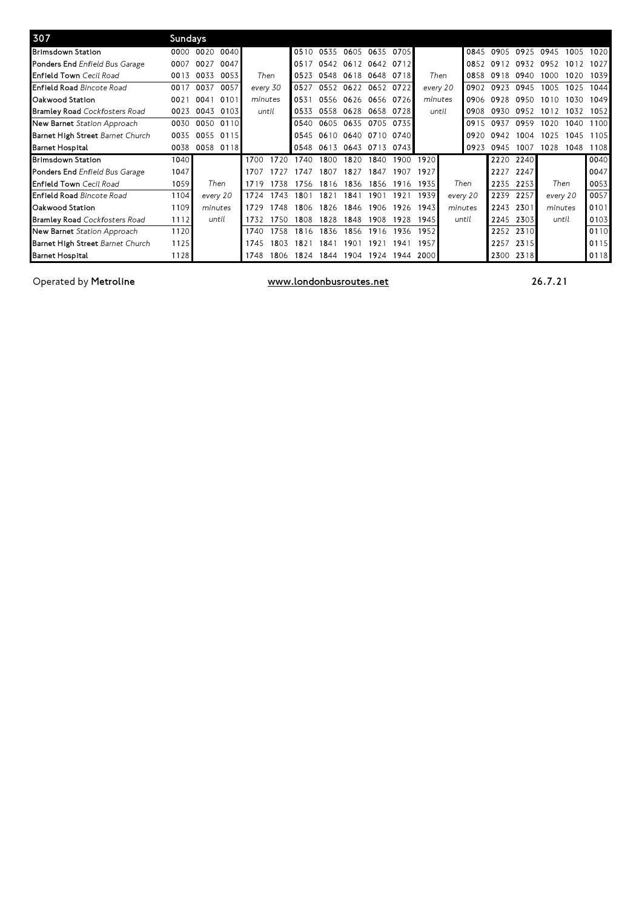| 307                                  | Sundays |           |      |         |          |                  |           |                          |                |      |          |         |          |      |      |          |      |      |
|--------------------------------------|---------|-----------|------|---------|----------|------------------|-----------|--------------------------|----------------|------|----------|---------|----------|------|------|----------|------|------|
| <b>Brimsdown Station</b>             | 0000    | 0020      | 0040 |         |          | 0510             | 0535      | 0605 0635                |                | 0705 |          |         | 0845     | 0905 | 0925 | 0945     | 1005 | 1020 |
| Ponders End Enfield Bus Garage       | 0007    | 0027      | 0047 |         |          | 0517             | 0542      |                          | 0612 0642      | 0712 |          |         | 0852     | 0912 | 0932 | 0952     | 1012 | 1027 |
| <b>Enfield Town</b> Cecil Road       | 0013    | 0033      | 0053 |         | Then     | 0523             | 0548      |                          | 0618 0648 0718 |      | Then     |         | 0858     | 0918 | 0940 | 1000     | 1020 | 1039 |
| <b>Enfield Road Bincote Road</b>     | 0017    | 0037      | 0057 |         | every 30 | 0527             | 0552      | 0622 0652 0722           |                |      | every 20 |         | 0902     | 0923 | 0945 | 1005     | 1025 | 1044 |
| Oakwood Station                      | 0021    | 0041      | 0101 | minutes |          | 0531             | 0556      | 0626 0656 0726           |                |      | minutes  |         | 0906     | 0928 | 0950 | 1010     | 1030 | 1049 |
| <b>Bramley Road</b> Cockfosters Road | 0023    | 0043      | 0103 |         | until    | 0533             | 0558      | 0628 0658 0728           |                |      | until    |         | 0908     | 0930 | 0952 | 1012     | 1032 | 1052 |
| New Barnet Station Approach          | 0030    | 0050      | 0110 |         |          | 0540             | 0605      | 0635 0705                |                | 0735 |          |         | 0915     | 0937 | 0959 | 1020     | 1040 | 1100 |
| Barnet High Street Barnet Church     | 0035    | 0055      | 0115 |         |          |                  |           | 0545 0610 0640 0710 0740 |                |      |          |         | 0920     | 0942 | 1004 | 1025     | 1045 | 1105 |
| <b>Barnet Hospital</b>               | 0038    | 0058 0118 |      |         |          |                  | 0548 0613 | 0643 0713                |                | 0743 |          |         | 0923     | 0945 | 1007 | 1028     | 1048 | 1108 |
| <b>Brimsdown Station</b>             | 1040    |           |      | 1700    | 1720     | 1740             | 1800      | 1820                     | 1840           | 1900 | 1920     |         |          | 2220 | 2240 |          |      | 0040 |
| Ponders End Enfield Bus Garage       | 1047    |           |      | 1707    | 1727     | 1747             | 1807      | 1827                     | 1847           | 1907 | 1927     |         |          | 2227 | 2247 |          |      | 0047 |
| <b>Enfield Town</b> Cecil Road       | 1059    | Then      |      | 1719    | 1738     | 1756             | 1816      | 1836                     | 1856           | 1916 | 1935     |         | Then     | 2235 | 2253 | Then     |      | 0053 |
| <b>Enfield Road Bincote Road</b>     | 1104    | every 20  |      | 1724    | 1743     | 180 <sup>°</sup> | 1821      | 1841                     | 1901           | 1921 | 1939     |         | every 20 | 2239 | 2257 | every 20 |      | 0057 |
| Oakwood Station                      | 1109    | minutes   |      | 1729    | 1748     | 1806             | 1826      | 1846                     | 1906           | 1926 | 1943     | minutes |          | 2243 | 2301 | minutes  |      | 0101 |
| <b>Bramley Road</b> Cockfosters Road | 1112    | until     |      | 1732    | 1750     | 808              | 1828      | 1848                     | 1908           | 1928 | 1945     |         | until    | 2245 | 2303 | until    |      | 0103 |
| New Barnet Station Approach          | 1120    |           |      | 1740    | 1758     | 1816             | 1836      | 1856                     | 1916           | 1936 | 1952     |         |          | 2252 | 2310 |          |      | 0110 |
| Barnet High Street Barnet Church     | 1125    |           |      | 1745    | 1803     | 1821             | 1841      | 1901                     | 1921           | 1941 | 1957     |         |          | 2257 | 2315 |          |      | 0115 |
| <b>Barnet Hospital</b>               | 1128    |           |      | 1748    | 1806     | 1824             | 1844      | 1904                     | 1924           | 1944 | 2000     |         |          | 2300 | 2318 |          |      | 0118 |

Operated by Metroline **Exercise 26.7.21** With the Muslim of the With With Muslim of the 26.7.21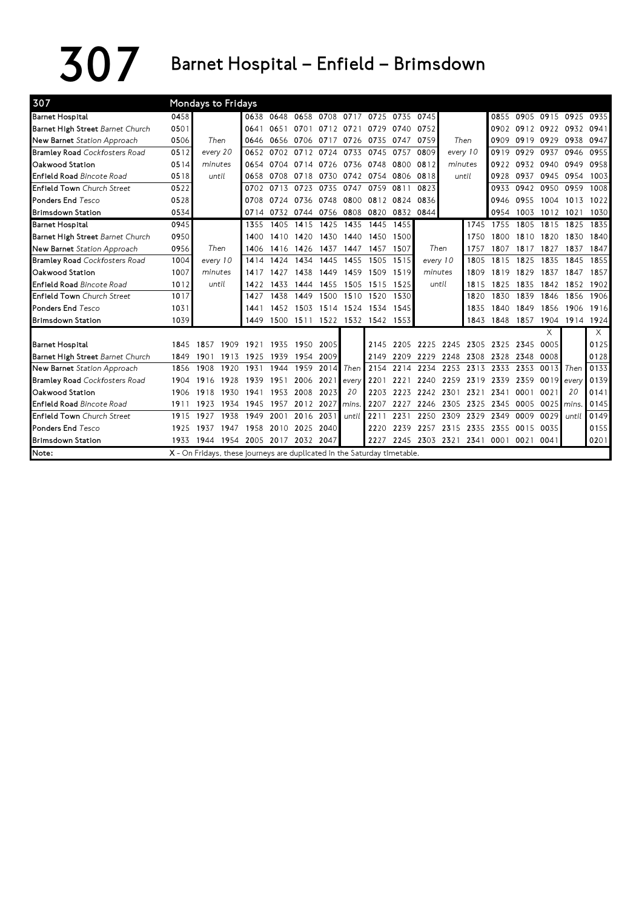307 Barnet Hospital – Enfield – Brimsdown

| 307                                  |      | Mondays to Fridays                                                       |      |                     |                |           |                               |                     |      |           |                |                     |      |                 |            |                |          |
|--------------------------------------|------|--------------------------------------------------------------------------|------|---------------------|----------------|-----------|-------------------------------|---------------------|------|-----------|----------------|---------------------|------|-----------------|------------|----------------|----------|
| <b>Barnet Hospital</b>               | 0458 |                                                                          | 0638 | 0648                | 0658           |           | 0708 0717 0725 0735 0745      |                     |      |           |                |                     | 0855 |                 |            | 0905 0915 0925 | 0935     |
| Barnet High Street Barnet Church     | 0501 |                                                                          | 0641 | 0651                | 0701           | 0712      | 0721                          | 0729                | 0740 | 0752      |                |                     | 0902 | 0912 0922       |            | 0932           | 0941     |
| New Barnet Station Approach          | 0506 | Then                                                                     | 0646 |                     | 0656 0706      | 0717      |                               | 0726 0735           |      | 0747 0759 |                | Then                | 0909 | 0919 0929       |            | 0938           | 0947     |
| <b>Bramley Road</b> Cockfosters Road | 0512 | every 20                                                                 | 0652 |                     | 0702 0712 0724 |           | 0733                          | 0745                | 0757 | 0809      |                | every 10            | 0919 | 0929            | 0937       | 0946           | 0955     |
| Oakwood Station                      | 0514 | minutes                                                                  | 0654 |                     | 0704 0714 0726 |           | 0736 0748                     |                     | 0800 | 0812      | minutes        |                     | 0922 |                 | 0932 0940  | 0949           | 0958     |
| Enfield Road Bincote Road            | 0518 | until                                                                    | 0658 |                     | 0708 0718      | 0730      | 0742 0754                     |                     | 0806 | 0818      |                | until               | 0928 | 0937            | 0945       | 0954           | 1003     |
| <b>Enfield Town</b> Church Street    | 0522 |                                                                          | 0702 | 0713                | 0723           | 0735      | 0747                          | 0759                | 0811 | 0823      |                |                     | 0933 | 0942            | 0950       | 0959           | 1008     |
| <b>Ponders End Tesco</b>             | 0528 |                                                                          | 0708 | 0724 0736 0748      |                |           |                               | 0800 0812 0824 0836 |      |           |                |                     | 0946 | 0955            | 1004       | 1013           | 1022     |
| <b>Brimsdown Station</b>             | 0534 |                                                                          |      | 0714 0732 0744 0756 |                |           | 0808 0820                     |                     |      | 0832 0844 |                |                     | 0954 | 1003            | 1012       | 1021           | 1030     |
| <b>Barnet Hospital</b>               | 0945 |                                                                          | 1355 | 1405                | 1415           | 1425      | 1435 1445                     |                     | 1455 |           |                | 1745                | 1755 | 1805            | 1815       | 1825           | 1835     |
| Barnet High Street Barnet Church     | 0950 |                                                                          | 1400 | 1410                | 1420           | 1430      | 1440                          | 1450                | 1500 |           |                | 1750                | 1800 | 1810            | 1820       | 1830           | 1840     |
| New Barnet Station Approach          | 0956 | Then                                                                     | 1406 |                     | 1416 1426      | 1437      | 1447 1457                     |                     | 1507 |           | Then           | 1757                | 1807 | 1817            | 1827       | 1837           | 1847     |
| <b>Bramley Road</b> Cockfosters Road | 1004 | every 10                                                                 | 1414 | 1424                | 1434           | 1445      | 1455                          | 1505                | 1515 | every 10  |                | 1805                | 1815 | 1825            | 1835       | 1845           | 1855     |
| Oakwood Station                      | 1007 | minutes                                                                  | 1417 | 1427                | 1438           | 1449      |                               | 1459 1509           | 1519 | minutes   |                | 1809                | 1819 | 1829            | 1837       | 1847           | 1857     |
| <b>Enfield Road Bincote Road</b>     | 1012 | until                                                                    | 1422 | 1433                | 1444           | 1455      | 1505 1515                     |                     | 1525 |           | until          | 1815                | 1825 | 1835            | 1842       | 1852           | 1902     |
| <b>Enfield Town</b> Church Street    | 1017 |                                                                          | 1427 | 1438                | 1449           | 1500      |                               | 1510 1520           | 1530 |           |                | 1820                | 1830 | 1839            | 1846       | 1856           | 1906     |
| <b>Ponders End Tesco</b>             | 1031 |                                                                          | 1441 | 1452                | 1503           |           | 1514 1524 1534                |                     | 1545 |           |                | 1835                | 1840 | 1849            | 1856       | 1906           | 1916     |
| <b>Brimsdown Station</b>             | 1039 |                                                                          | 1449 |                     |                |           | 1500 1511 1522 1532 1542 1553 |                     |      |           |                | 1843                | 1848 | 1857            | 1904       | 1914 1924      |          |
|                                      |      |                                                                          |      |                     |                |           |                               |                     |      |           |                |                     |      |                 | X          |                | $\times$ |
| <b>Barnet Hospital</b>               | 1845 | 1909<br>-1857                                                            | 1921 | 1935                | 1950           | 2005      |                               | 2145                | 2205 |           | 2225 2245 2305 |                     | 2325 | 2345            | 0005       |                | 0125     |
| Barnet High Street Barnet Church     | 1849 | 1913<br>1901                                                             | 1925 | 1939                | 1954 2009      |           |                               | 2149                | 2209 | 2229      | 2248           | 2308                | 2328 | 2348            | 0008       |                | 0128     |
| New Barnet Station Approach          | 1856 | 1908<br>1920                                                             | 1931 | 1944                | 1959           | 2014      | <b>Then</b>                   | 2154                |      |           | 2214 2234 2253 | 2313 2333           |      | 2353            | 0013       | Then           | 0133     |
| <b>Bramley Road</b> Cockfosters Road | 1904 | 1928<br>1916                                                             | 1939 | 1951                | 2006 2021      |           | every                         | 2201                | 2221 |           | 2240 2259      | 2319 2339           |      | 2359 0019 every |            |                | 0139     |
| Oakwood Station                      | 1906 | 1918<br>1930                                                             | 1941 | 1953                | 2008           | 2023      | 20                            | 2203                | 2223 | 2242      | 2301           | 2321                | 2341 | 0001            | 0021       | 20             | 0141     |
| <b>Enfield Road Bincote Road</b>     | 1911 | 1923<br>1934                                                             | 1945 | 1957                |                | 2012 2027 | mins.                         | 2207                | 2227 | 2246      | 2305           | 2325                | 2345 | 0005            | 0025 mins. |                | 0145     |
| <b>Enfield Town</b> Church Street    | 1915 | 1938<br>1927                                                             | 1949 | 2001                | 2016           | 2031      | until                         | 2211                | 2231 | 2250      | 2309           | 2329                | 2349 | 0009            | 0029       | until          | 0149     |
| Ponders End Tesco                    | 1925 | 1937<br>1947                                                             |      | 1958 2010 2025 2040 |                |           |                               | 2220                |      | 2239 2257 | 2315           | 2335 2355           |      | 0015            | 0035       |                | 0155     |
| <b>Brimsdown Station</b>             |      | 1954<br>1933 1944                                                        |      | 2005 2017           | 2032 2047      |           |                               | 2227                |      |           |                | 2245 2303 2321 2341 | 0001 | 0021            | 0041       |                | 0201     |
| Note:                                |      | X - On Fridays, these journeys are duplicated in the Saturday timetable. |      |                     |                |           |                               |                     |      |           |                |                     |      |                 |            |                |          |